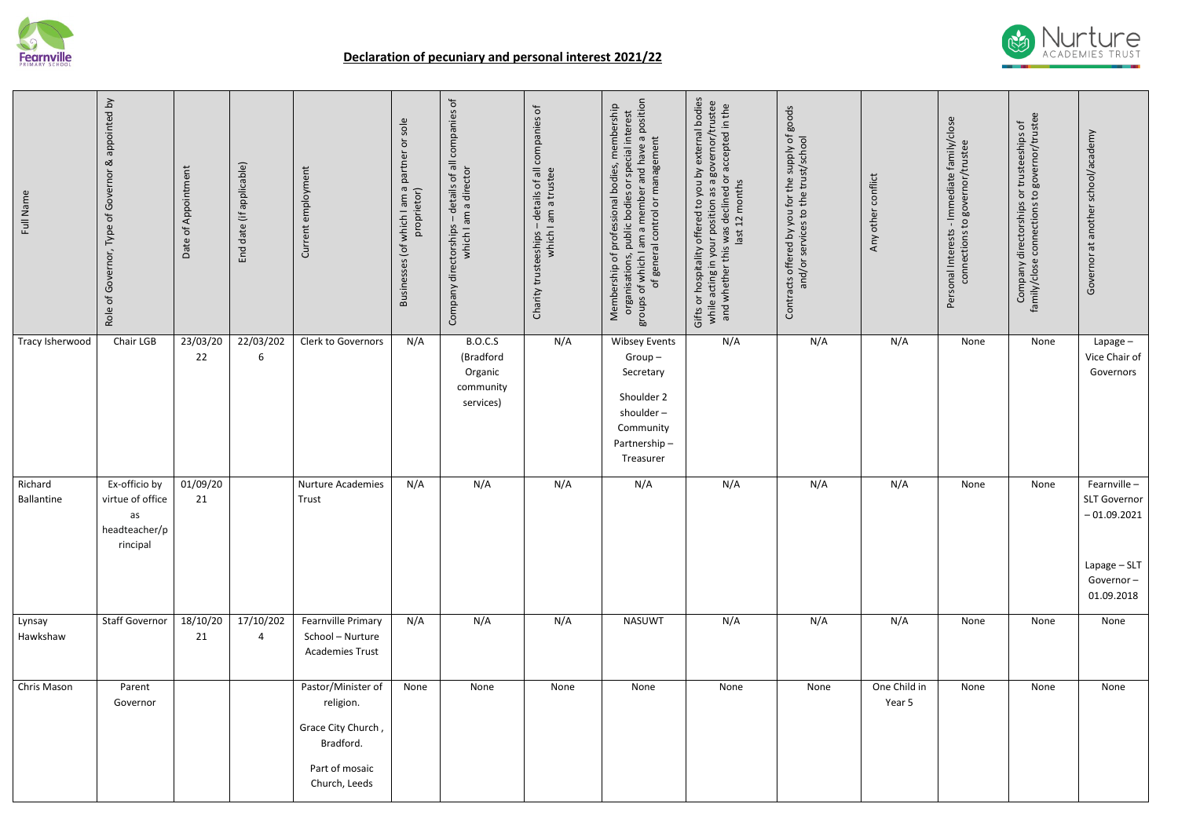

## **Declaration of pecuniary and personal interest 2021/22**

| Full Name             | appointed by<br>$\propto$<br>Type of Governor<br>Role of Governor,   | Date of Appointment | date (if applicable)<br>End | employment<br>Current                                                                                 | sole<br>$\overleftarrow{\mathrm{o}}$<br>Businesses (of which I am a partner<br>proprietor) | details of all companies of<br>am a director<br>$\mathbf{L}$<br>Company directorships<br>which I | details of all companies of<br>am a trustee<br>Charity trusteeships –<br>which I a | am a member and have a position<br>Membership of professional bodies, membership<br>public bodies or special interest<br>groups of which I am a member and have a<br>of general control or management<br>organisations, | Gifts or hospitality offered to you by external bodies<br>while acting in your position as a governor/trustee<br>or accepted in the<br>months<br>declined<br>12<br>and whether this was<br>last | Contracts offered by you for the supply of goods<br>and/or services to the trust/school | Any other conflict     | Personal Interests - Immediate family/close<br>connections to governor/trustee | or trusteeships of<br>to governor/trustee<br>directorships<br>connections<br>Company d<br>family/close o | another school/academy<br>Governor at                                                      |
|-----------------------|----------------------------------------------------------------------|---------------------|-----------------------------|-------------------------------------------------------------------------------------------------------|--------------------------------------------------------------------------------------------|--------------------------------------------------------------------------------------------------|------------------------------------------------------------------------------------|-------------------------------------------------------------------------------------------------------------------------------------------------------------------------------------------------------------------------|-------------------------------------------------------------------------------------------------------------------------------------------------------------------------------------------------|-----------------------------------------------------------------------------------------|------------------------|--------------------------------------------------------------------------------|----------------------------------------------------------------------------------------------------------|--------------------------------------------------------------------------------------------|
| Tracy Isherwood       | Chair LGB                                                            | 23/03/20<br>22      | 22/03/202<br>6              | Clerk to Governors                                                                                    | N/A                                                                                        | <b>B.O.C.S</b><br>(Bradford<br>Organic<br>community<br>services)                                 | N/A                                                                                | <b>Wibsey Events</b><br>$Group-$<br>Secretary<br>Shoulder 2<br>shoulder-<br>Community<br>Partnership-<br>Treasurer                                                                                                      | N/A                                                                                                                                                                                             | N/A                                                                                     | N/A                    | None                                                                           | None                                                                                                     | Lapage-<br>Vice Chair of<br>Governors                                                      |
| Richard<br>Ballantine | Ex-officio by<br>virtue of office<br>as<br>headteacher/p<br>rincipal | 01/09/20<br>21      |                             | Nurture Academies<br>Trust                                                                            | N/A                                                                                        | N/A                                                                                              | N/A                                                                                | N/A                                                                                                                                                                                                                     | N/A                                                                                                                                                                                             | N/A                                                                                     | N/A                    | None                                                                           | None                                                                                                     | Fearnville-<br>SLT Governor<br>$-01.09.2021$<br>Lapage - SLT<br>Governor $-$<br>01.09.2018 |
| Lynsay<br>Hawkshaw    | <b>Staff Governor</b>                                                | 18/10/20<br>21      | 17/10/202<br>4              | Fearnville Primary<br>School - Nurture<br><b>Academies Trust</b>                                      | N/A                                                                                        | N/A                                                                                              | N/A                                                                                | <b>NASUWT</b>                                                                                                                                                                                                           | N/A                                                                                                                                                                                             | N/A                                                                                     | N/A                    | None                                                                           | None                                                                                                     | None                                                                                       |
| Chris Mason           | Parent<br>Governor                                                   |                     |                             | Pastor/Minister of<br>religion.<br>Grace City Church,<br>Bradford.<br>Part of mosaic<br>Church, Leeds | None                                                                                       | None                                                                                             | None                                                                               | None                                                                                                                                                                                                                    | None                                                                                                                                                                                            | None                                                                                    | One Child in<br>Year 5 | None                                                                           | None                                                                                                     | None                                                                                       |

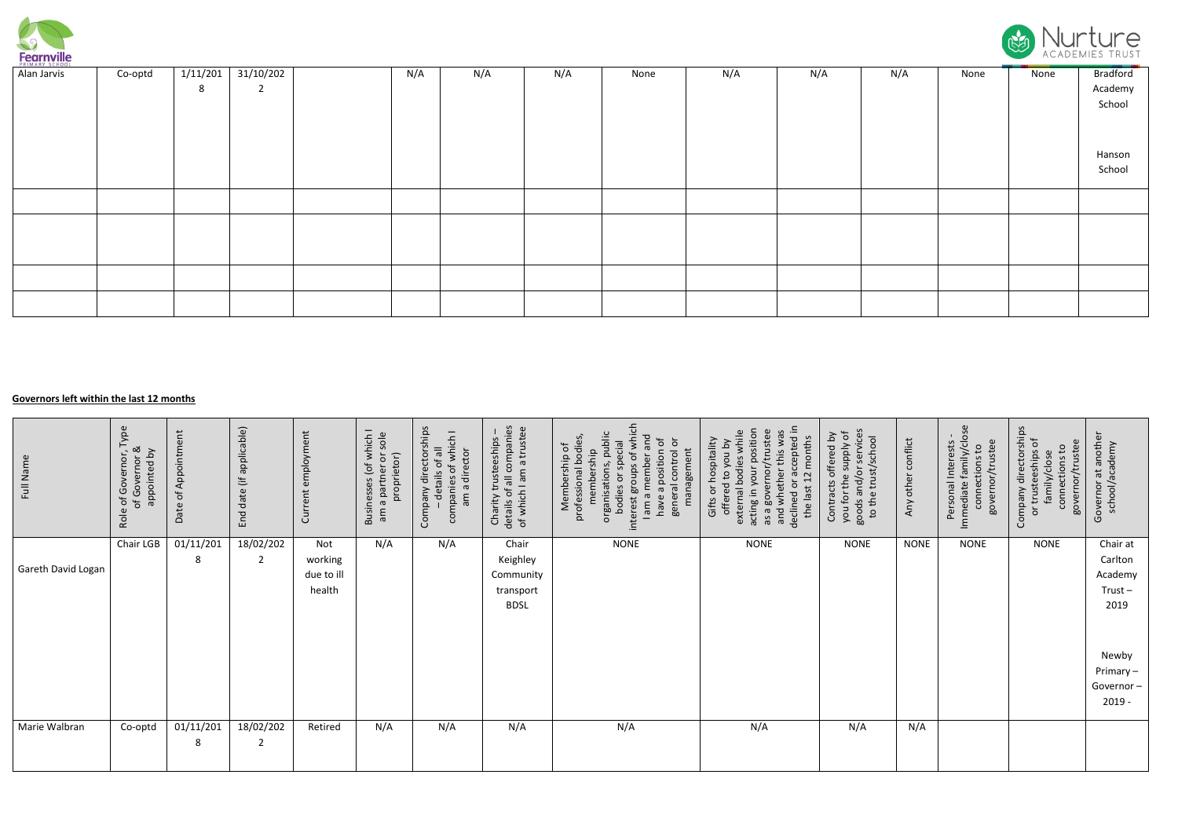

| PRIMARY SCHOOL |         |          |             |     |     |     |      |     |     |     |      |      |          |
|----------------|---------|----------|-------------|-----|-----|-----|------|-----|-----|-----|------|------|----------|
| Alan Jarvis    | Co-optd | 1/11/201 | 31/10/202   | N/A | N/A | N/A | None | N/A | N/A | N/A | None | None | Bradford |
|                |         | 8        | $2^{\circ}$ |     |     |     |      |     |     |     |      |      | Academy  |
|                |         |          |             |     |     |     |      |     |     |     |      |      | School   |
|                |         |          |             |     |     |     |      |     |     |     |      |      |          |
|                |         |          |             |     |     |     |      |     |     |     |      |      |          |
|                |         |          |             |     |     |     |      |     |     |     |      |      |          |
|                |         |          |             |     |     |     |      |     |     |     |      |      | Hanson   |
|                |         |          |             |     |     |     |      |     |     |     |      |      | School   |
|                |         |          |             |     |     |     |      |     |     |     |      |      |          |
|                |         |          |             |     |     |     |      |     |     |     |      |      |          |
|                |         |          |             |     |     |     |      |     |     |     |      |      |          |
|                |         |          |             |     |     |     |      |     |     |     |      |      |          |
|                |         |          |             |     |     |     |      |     |     |     |      |      |          |
|                |         |          |             |     |     |     |      |     |     |     |      |      |          |
|                |         |          |             |     |     |     |      |     |     |     |      |      |          |
|                |         |          |             |     |     |     |      |     |     |     |      |      |          |
|                |         |          |             |     |     |     |      |     |     |     |      |      |          |
|                |         |          |             |     |     |     |      |     |     |     |      |      |          |

## **Governors left within the last 12 months**

| Full Name          | ype<br>e of Governor, T<br>of Governor &<br>appointed by<br>Role | Date of Appointment | applicable)<br>$\equiv$<br>End date | ent<br>employm<br>Current              | Businesses (of which I<br>sole<br>ð<br>proprietor)<br>partner<br>σ<br>m | Company directorships<br>companies of which I<br>- details of all<br>director<br>am a | details of all companies<br>of which I am a trustee<br>trusteeships<br>Charity | public<br>ð<br>$\overline{\circ}$<br>⋚<br>ecial<br>Membership of<br>professional bodi<br>management<br>a position<br>ship<br>general control<br>đ<br>ember<br>ğ<br>organisations,<br>interest groups<br>member<br>ð<br>bodies<br>have<br>me | trustee<br>wa<br>ositio<br>months<br>whil<br>ccepted<br>hospitality<br><b>Aq</b> nok<br>this<br>odies<br>acting in your  <br>as a governor/<br>whether<br>$\mathbf{c}$<br>offered<br>ō<br>Gifts or<br>the last<br>external<br>declined<br>and | services<br>ъ<br>offered by<br>/school<br><b>Alddns</b><br>trust/<br>$\circ$<br>ਰ<br>Contracts<br>ð<br>to the<br>ᡕᢐ<br>you fo<br>goods | Any other conflict | Immediate family/close<br>governor/trustee<br>Personal Interests<br>S <sub>1</sub><br>connections | directorships<br>teeships of<br>governor/trustee<br>β,<br>eeships<br>family/close<br>connections<br>Company<br>E<br>$\overline{\sigma}$ | at another<br>school/academy<br>Governor            |
|--------------------|------------------------------------------------------------------|---------------------|-------------------------------------|----------------------------------------|-------------------------------------------------------------------------|---------------------------------------------------------------------------------------|--------------------------------------------------------------------------------|---------------------------------------------------------------------------------------------------------------------------------------------------------------------------------------------------------------------------------------------|-----------------------------------------------------------------------------------------------------------------------------------------------------------------------------------------------------------------------------------------------|----------------------------------------------------------------------------------------------------------------------------------------|--------------------|---------------------------------------------------------------------------------------------------|-----------------------------------------------------------------------------------------------------------------------------------------|-----------------------------------------------------|
| Gareth David Logan | Chair LGB                                                        | 01/11/201<br>8      | 18/02/202<br>$\overline{2}$         | Not<br>working<br>due to ill<br>health | N/A                                                                     | N/A                                                                                   | Chair<br>Keighley<br>Community<br>transport<br><b>BDSL</b>                     | <b>NONE</b>                                                                                                                                                                                                                                 | <b>NONE</b>                                                                                                                                                                                                                                   | <b>NONE</b>                                                                                                                            | <b>NONE</b>        | <b>NONE</b>                                                                                       | <b>NONE</b>                                                                                                                             | Chair at<br>Carlton<br>Academy<br>$Trust -$<br>2019 |
|                    |                                                                  |                     |                                     |                                        |                                                                         |                                                                                       |                                                                                |                                                                                                                                                                                                                                             |                                                                                                                                                                                                                                               |                                                                                                                                        |                    |                                                                                                   |                                                                                                                                         | Newby<br>Primary-<br>Governor-<br>$2019 -$          |
| Marie Walbran      | Co-optd                                                          | 01/11/201<br>8      | 18/02/202<br>$\overline{2}$         | Retired                                | N/A                                                                     | N/A                                                                                   | N/A                                                                            | N/A                                                                                                                                                                                                                                         | N/A                                                                                                                                                                                                                                           | N/A                                                                                                                                    | N/A                |                                                                                                   |                                                                                                                                         |                                                     |